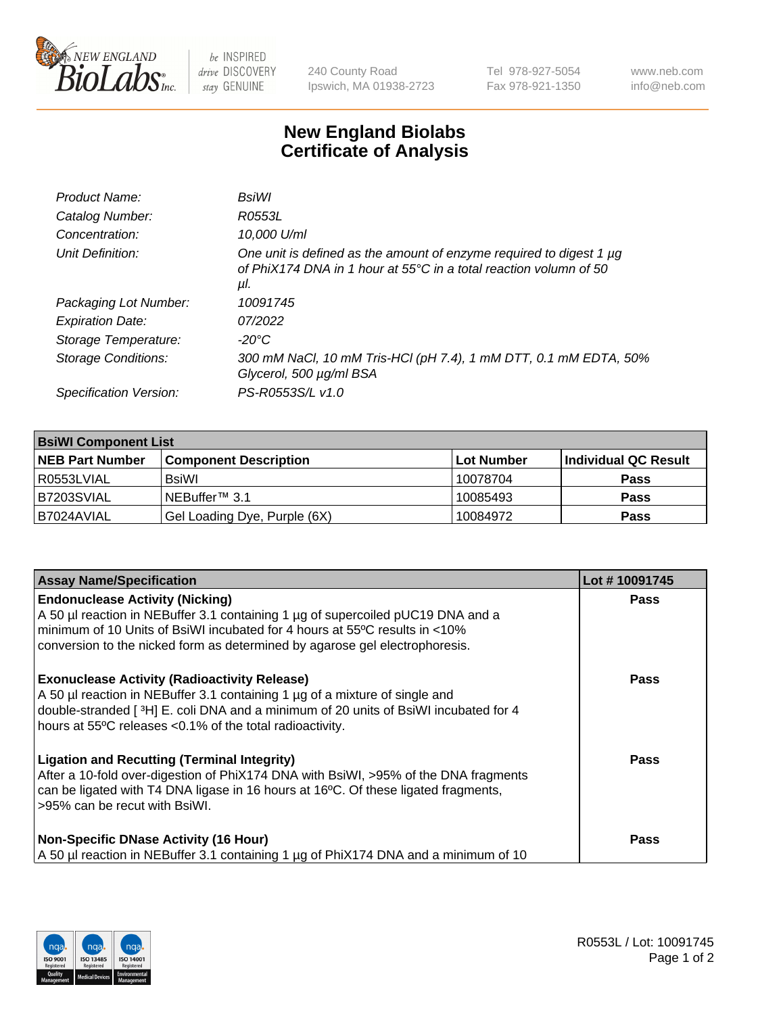

 $be$  INSPIRED drive DISCOVERY stay GENUINE

240 County Road Ipswich, MA 01938-2723 Tel 978-927-5054 Fax 978-921-1350 www.neb.com info@neb.com

## **New England Biolabs Certificate of Analysis**

| Product Name:           | BsiWl                                                                                                                                                     |
|-------------------------|-----------------------------------------------------------------------------------------------------------------------------------------------------------|
| Catalog Number:         | R0553L                                                                                                                                                    |
| Concentration:          | 10,000 U/ml                                                                                                                                               |
| Unit Definition:        | One unit is defined as the amount of enzyme required to digest 1 µg<br>of PhiX174 DNA in 1 hour at $55^{\circ}$ C in a total reaction volumn of 50<br>μl. |
| Packaging Lot Number:   | 10091745                                                                                                                                                  |
| <b>Expiration Date:</b> | 07/2022                                                                                                                                                   |
| Storage Temperature:    | $-20^{\circ}$ C                                                                                                                                           |
| Storage Conditions:     | 300 mM NaCl, 10 mM Tris-HCl (pH 7.4), 1 mM DTT, 0.1 mM EDTA, 50%<br>Glycerol, 500 µg/ml BSA                                                               |
| Specification Version:  | PS-R0553S/L v1.0                                                                                                                                          |

| <b>BsiWI Component List</b> |                              |             |                      |  |  |
|-----------------------------|------------------------------|-------------|----------------------|--|--|
| <b>NEB Part Number</b>      | <b>Component Description</b> | ∣Lot Number | Individual QC Result |  |  |
| R0553LVIAL                  | BsiWl                        | 10078704    | <b>Pass</b>          |  |  |
| B7203SVIAL                  | NEBuffer <sup>™</sup> 3.1    | 10085493    | <b>Pass</b>          |  |  |
| B7024AVIAL                  | Gel Loading Dye, Purple (6X) | 10084972    | <b>Pass</b>          |  |  |

| <b>Assay Name/Specification</b>                                                                                                                                                                                                                                                           | Lot #10091745 |
|-------------------------------------------------------------------------------------------------------------------------------------------------------------------------------------------------------------------------------------------------------------------------------------------|---------------|
| <b>Endonuclease Activity (Nicking)</b><br>A 50 µl reaction in NEBuffer 3.1 containing 1 µg of supercoiled pUC19 DNA and a                                                                                                                                                                 | <b>Pass</b>   |
| minimum of 10 Units of BsiWI incubated for 4 hours at 55°C results in <10%<br>conversion to the nicked form as determined by agarose gel electrophoresis.                                                                                                                                 |               |
| <b>Exonuclease Activity (Radioactivity Release)</b><br>A 50 µl reaction in NEBuffer 3.1 containing 1 µg of a mixture of single and<br>double-stranded [ $3H$ ] E. coli DNA and a minimum of 20 units of BsiWI incubated for 4<br>hours at 55°C releases <0.1% of the total radioactivity. | <b>Pass</b>   |
| <b>Ligation and Recutting (Terminal Integrity)</b><br>After a 10-fold over-digestion of PhiX174 DNA with BsiWI, >95% of the DNA fragments<br>can be ligated with T4 DNA ligase in 16 hours at 16°C. Of these ligated fragments,<br>>95% can be recut with BsiWI.                          | Pass          |
| <b>Non-Specific DNase Activity (16 Hour)</b><br>A 50 µl reaction in NEBuffer 3.1 containing 1 µg of PhiX174 DNA and a minimum of 10                                                                                                                                                       | <b>Pass</b>   |